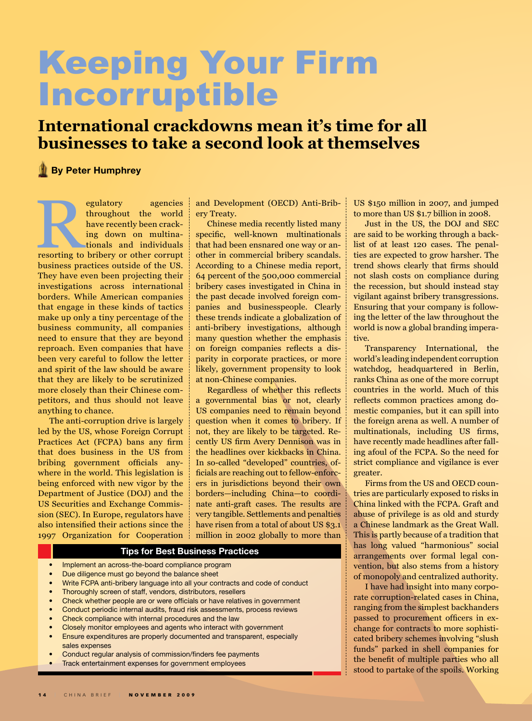## Keeping Your Firm Incorruptible

## **International crackdowns mean it's time for all businesses to take a second look at themselves**

## **By Peter Humphrey**

egulatory agencies<br>
throughout the world<br>
have recently been crack-<br>
ing down on multina-<br>
tionals and individuals<br>
resorting to bribery or other corrupt<br>
winners throughout the world have recently been cracking down on multinationals and individuals business practices outside of the US. They have even been projecting their investigations across international borders. While American companies that engage in these kinds of tactics make up only a tiny percentage of the business community, all companies need to ensure that they are beyond reproach. Even companies that have been very careful to follow the letter and spirit of the law should be aware that they are likely to be scrutinized more closely than their Chinese competitors, and thus should not leave anything to chance.

The anti-corruption drive is largely led by the US, whose Foreign Corrupt Practices Act (FCPA) bans any firm that does business in the US from bribing government officials anywhere in the world. This legislation is being enforced with new vigor by the Department of Justice (DOJ) and the US Securities and Exchange Commission (SEC). In Europe, regulators have also intensified their actions since the 1997 Organization for Cooperation and Development (OECD) Anti-Bribery Treaty.

Chinese media recently listed many specific, well-known multinationals that had been ensnared one way or another in commercial bribery scandals. According to a Chinese media report, 64 percent of the 500,000 commercial bribery cases investigated in China in the past decade involved foreign companies and businesspeople. Clearly these trends indicate a globalization of anti-bribery investigations, although many question whether the emphasis on foreign companies reflects a disparity in corporate practices, or more likely, government propensity to look at non-Chinese companies.

Regardless of whether this reflects a governmental bias or not, clearly US companies need to remain beyond question when it comes to bribery. If not, they are likely to be targeted. Recently US firm Avery Dennison was in the headlines over kickbacks in China. In so-called "developed" countries, officials are reaching out to fellow-enforcers in jurisdictions beyond their own borders—including China—to coordinate anti-graft cases. The results are very tangible. Settlements and penalties have risen from a total of about US \$3.1 million in 2002 globally to more than

## **Tips for Best Business Practices**

- Implement an across-the-board compliance program
- Due diligence must go beyond the balance sheet
- Write FCPA anti-bribery language into all your contracts and code of conduct
- Thoroughly screen of staff, vendors, distributors, resellers
- Check whether people are or were officials or have relatives in government
- Conduct periodic internal audits, fraud risk assessments, process reviews
- Check compliance with internal procedures and the law
- Closely monitor employees and agents who interact with government
- Ensure expenditures are properly documented and transparent, especially sales expenses
- Conduct regular analysis of commission/finders fee payments
- Track entertainment expenses for government employees

US \$150 million in 2007, and jumped to more than US \$1.7 billion in 2008.

Just in the US, the DOJ and SEC are said to be working through a backlist of at least 120 cases. The penalties are expected to grow harsher. The trend shows clearly that firms should not slash costs on compliance during the recession, but should instead stay vigilant against bribery transgressions. Ensuring that your company is following the letter of the law throughout the world is now a global branding imperative.

Transparency International, the world's leading independent corruption watchdog, headquartered in Berlin, ranks China as one of the more corrupt countries in the world. Much of this reflects common practices among domestic companies, but it can spill into the foreign arena as well. A number of multinationals, including US firms, have recently made headlines after falling afoul of the FCPA. So the need for strict compliance and vigilance is ever greater.

Firms from the US and OECD countries are particularly exposed to risks in China linked with the FCPA. Graft and abuse of privilege is as old and sturdy a Chinese landmark as the Great Wall. This is partly because of a tradition that has long valued "harmonious" social arrangements over formal legal convention, but also stems from a history of monopoly and centralized authority.

I have had insight into many corporate corruption-related cases in China, ranging from the simplest backhanders passed to procurement officers in exchange for contracts to more sophisticated bribery schemes involving "slush funds" parked in shell companies for the benefit of multiple parties who all stood to partake of the spoils. Working